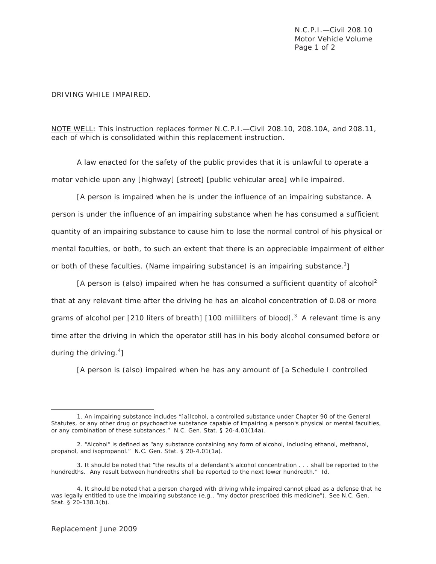N.C.P.I.—Civil 208.10 Motor Vehicle Volume Page 1 of 2

## DRIVING WHILE IMPAIRED.

## *NOTE WELL*: *This instruction replaces former N.C.P.I.—Civil 208.10, 208.10A, and 208.11, each of which is consolidated within this replacement instruction*.

A law enacted for the safety of the public provides that it is unlawful to operate a motor vehicle upon any [highway] [street] [public vehicular area] while impaired.

[A person is impaired when *he* is under the influence of an impairing substance. A person is under the influence of an impairing substance when *he* has consumed a sufficient quantity of an impairing substance to cause *him* to lose the normal control of *his* physical or mental faculties, or both, to such an extent that there is an appreciable impairment of either or both of these faculties. (Name impairing substance) is an impairing substance.<sup>1</sup>]

[A person is (also) impaired when *he* has consumed a sufficient quantity of alcohol<sup>2</sup> that at any relevant time after the driving *he* has an alcohol concentration of 0.08 or more grams of alcohol per [210 liters of breath] [100 milliliters of blood].<sup>3</sup> A relevant time is any time after the driving in which the operator still has in *his* body alcohol consumed before or during the driving.<sup>4</sup>]

[A person is (also) impaired when *he* has any amount of [a Schedule I controlled

 $\overline{a}$ 

<sup>1.</sup> An impairing substance includes "[a]lcohol, a controlled substance under Chapter 90 of the General Statutes, or any other drug or psychoactive substance capable of impairing a person's physical or mental faculties, or any combination of these substances." N.C. Gen. Stat. § 20-4.01(14a).

<sup>2. &</sup>quot;Alcohol" is defined as "any substance containing any form of alcohol, including ethanol, methanol, propanol, and isopropanol." N.C. Gen. Stat. § 20-4.01(1a).

<sup>3.</sup> It should be noted that "the results of a defendant's alcohol concentration . . . shall be reported to the hundredths. Any result between hundredths shall be reported to the next lower hundredth." *Id.*

<sup>4.</sup> It should be noted that a person charged with driving while impaired cannot plead as a defense that he was legally entitled to use the impairing substance (e.g., "my doctor prescribed this medicine"). *See* N.C. Gen. Stat. § 20-138.1(b).